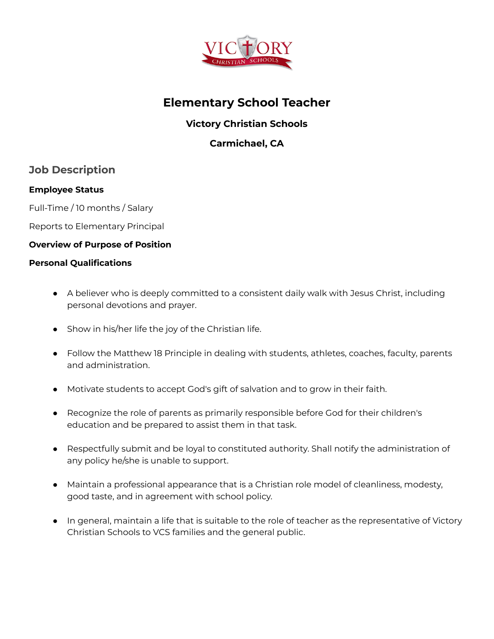

# **Elementary School Teacher**

### **Victory Christian Schools**

### **Carmichael, CA**

### **Job Description**

#### **Employee Status**

Full-Time / 10 months / Salary

Reports to Elementary Principal

#### **Overview of Purpose of Position**

#### **Personal Qualifications**

- A believer who is deeply committed to a consistent daily walk with Jesus Christ, including personal devotions and prayer.
- Show in his/her life the joy of the Christian life.
- Follow the Matthew 18 Principle in dealing with students, athletes, coaches, faculty, parents and administration.
- Motivate students to accept God's gift of salvation and to grow in their faith.
- Recognize the role of parents as primarily responsible before God for their children's education and be prepared to assist them in that task.
- Respectfully submit and be loyal to constituted authority. Shall notify the administration of any policy he/she is unable to support.
- Maintain a professional appearance that is a Christian role model of cleanliness, modesty, good taste, and in agreement with school policy.
- In general, maintain a life that is suitable to the role of teacher as the representative of Victory Christian Schools to VCS families and the general public.